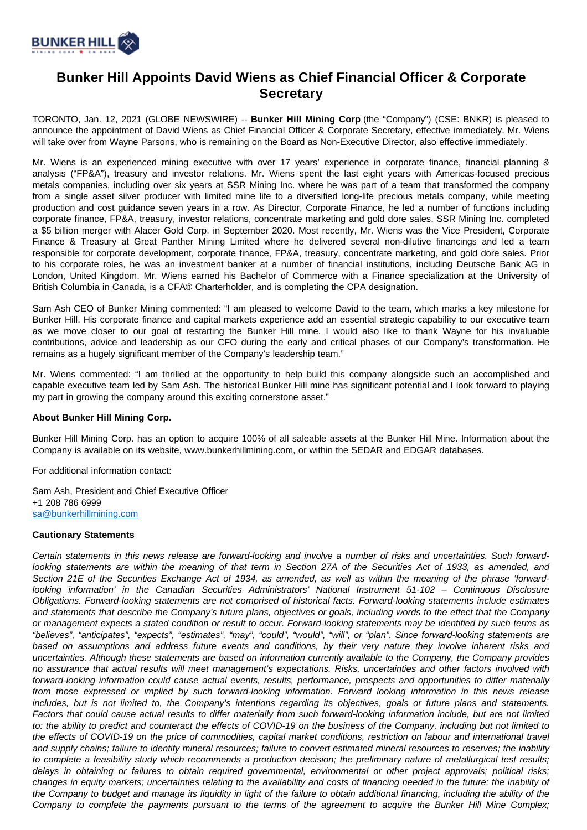

## **Bunker Hill Appoints David Wiens as Chief Financial Officer & Corporate Secretary**

TORONTO, Jan. 12, 2021 (GLOBE NEWSWIRE) -- **Bunker Hill Mining Corp** (the "Company") (CSE: BNKR) is pleased to announce the appointment of David Wiens as Chief Financial Officer & Corporate Secretary, effective immediately. Mr. Wiens will take over from Wayne Parsons, who is remaining on the Board as Non-Executive Director, also effective immediately.

Mr. Wiens is an experienced mining executive with over 17 years' experience in corporate finance, financial planning & analysis ("FP&A"), treasury and investor relations. Mr. Wiens spent the last eight years with Americas-focused precious metals companies, including over six years at SSR Mining Inc. where he was part of a team that transformed the company from a single asset silver producer with limited mine life to a diversified long-life precious metals company, while meeting production and cost guidance seven years in a row. As Director, Corporate Finance, he led a number of functions including corporate finance, FP&A, treasury, investor relations, concentrate marketing and gold dore sales. SSR Mining Inc. completed a \$5 billion merger with Alacer Gold Corp. in September 2020. Most recently, Mr. Wiens was the Vice President, Corporate Finance & Treasury at Great Panther Mining Limited where he delivered several non-dilutive financings and led a team responsible for corporate development, corporate finance, FP&A, treasury, concentrate marketing, and gold dore sales. Prior to his corporate roles, he was an investment banker at a number of financial institutions, including Deutsche Bank AG in London, United Kingdom. Mr. Wiens earned his Bachelor of Commerce with a Finance specialization at the University of British Columbia in Canada, is a CFA® Charterholder, and is completing the CPA designation.

Sam Ash CEO of Bunker Mining commented: "I am pleased to welcome David to the team, which marks a key milestone for Bunker Hill. His corporate finance and capital markets experience add an essential strategic capability to our executive team as we move closer to our goal of restarting the Bunker Hill mine. I would also like to thank Wayne for his invaluable contributions, advice and leadership as our CFO during the early and critical phases of our Company's transformation. He remains as a hugely significant member of the Company's leadership team."

Mr. Wiens commented: "I am thrilled at the opportunity to help build this company alongside such an accomplished and capable executive team led by Sam Ash. The historical Bunker Hill mine has significant potential and I look forward to playing my part in growing the company around this exciting cornerstone asset."

## **About Bunker Hill Mining Corp.**

Bunker Hill Mining Corp. has an option to acquire 100% of all saleable assets at the Bunker Hill Mine. Information about the Company is available on its website, www.bunkerhillmining.com, or within the SEDAR and EDGAR databases.

For additional information contact:

Sam Ash, President and Chief Executive Officer +1 208 786 6999 [sa@bunkerhillmining.com](mailto:sa@bunkerhillmining.com)

## **Cautionary Statements**

Certain statements in this news release are forward-looking and involve a number of risks and uncertainties. Such forwardlooking statements are within the meaning of that term in Section 27A of the Securities Act of 1933, as amended, and Section 21E of the Securities Exchange Act of 1934, as amended, as well as within the meaning of the phrase 'forwardlooking information' in the Canadian Securities Administrators' National Instrument 51-102 – Continuous Disclosure Obligations. Forward-looking statements are not comprised of historical facts. Forward-looking statements include estimates and statements that describe the Company's future plans, objectives or goals, including words to the effect that the Company or management expects a stated condition or result to occur. Forward-looking statements may be identified by such terms as "believes", "anticipates", "expects", "estimates", "may", "could", "would", "will", or "plan". Since forward-looking statements are based on assumptions and address future events and conditions, by their very nature they involve inherent risks and uncertainties. Although these statements are based on information currently available to the Company, the Company provides no assurance that actual results will meet management's expectations. Risks, uncertainties and other factors involved with forward-looking information could cause actual events, results, performance, prospects and opportunities to differ materially from those expressed or implied by such forward-looking information. Forward looking information in this news release includes, but is not limited to, the Company's intentions regarding its objectives, goals or future plans and statements. Factors that could cause actual results to differ materially from such forward-looking information include, but are not limited to: the ability to predict and counteract the effects of COVID-19 on the business of the Company, including but not limited to the effects of COVID-19 on the price of commodities, capital market conditions, restriction on labour and international travel and supply chains; failure to identify mineral resources; failure to convert estimated mineral resources to reserves; the inability to complete a feasibility study which recommends a production decision; the preliminary nature of metallurgical test results; delays in obtaining or failures to obtain required governmental, environmental or other project approvals; political risks; changes in equity markets; uncertainties relating to the availability and costs of financing needed in the future; the inability of the Company to budget and manage its liquidity in light of the failure to obtain additional financing, including the ability of the Company to complete the payments pursuant to the terms of the agreement to acquire the Bunker Hill Mine Complex;